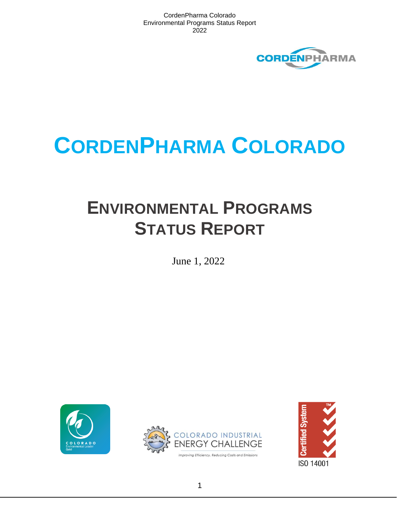

# **CORDENPHARMA COLORADO**

## **ENVIRONMENTAL PROGRAMS STATUS REPORT**

June 1, 2022





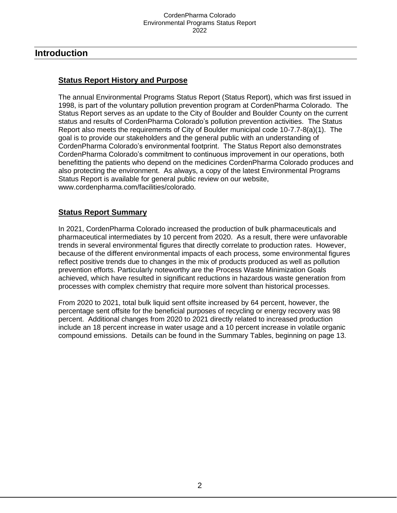## **Introduction**

## **Status Report History and Purpose**

The annual Environmental Programs Status Report (Status Report), which was first issued in 1998, is part of the voluntary pollution prevention program at CordenPharma Colorado. The Status Report serves as an update to the City of Boulder and Boulder County on the current status and results of CordenPharma Colorado's pollution prevention activities. The Status Report also meets the requirements of City of Boulder municipal code 10-7.7-8(a)(1). The goal is to provide our stakeholders and the general public with an understanding of CordenPharma Colorado's environmental footprint. The Status Report also demonstrates CordenPharma Colorado's commitment to continuous improvement in our operations, both benefitting the patients who depend on the medicines CordenPharma Colorado produces and also protecting the environment. As always, a copy of the latest Environmental Programs Status Report is available for general public review on our website, www.cordenpharma.com/facilities/colorado.

## **Status Report Summary**

In 2021, CordenPharma Colorado increased the production of bulk pharmaceuticals and pharmaceutical intermediates by 10 percent from 2020. As a result, there were unfavorable trends in several environmental figures that directly correlate to production rates. However, because of the different environmental impacts of each process, some environmental figures reflect positive trends due to changes in the mix of products produced as well as pollution prevention efforts. Particularly noteworthy are the Process Waste Minimization Goals achieved, which have resulted in significant reductions in hazardous waste generation from processes with complex chemistry that require more solvent than historical processes.

From 2020 to 2021, total bulk liquid sent offsite increased by 64 percent, however, the percentage sent offsite for the beneficial purposes of recycling or energy recovery was 98 percent. Additional changes from 2020 to 2021 directly related to increased production include an 18 percent increase in water usage and a 10 percent increase in volatile organic compound emissions. Details can be found in the Summary Tables, beginning on page 13.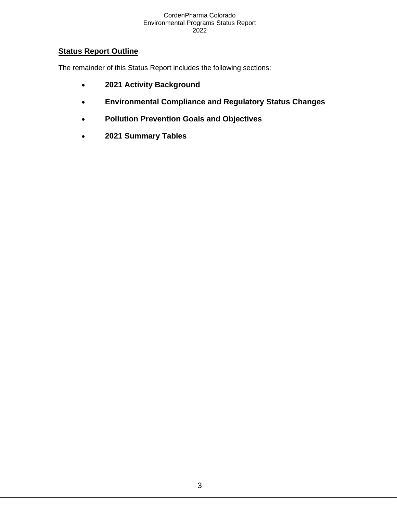## **Status Report Outline**

The remainder of this Status Report includes the following sections:

- **2021 Activity Background**
- **Environmental Compliance and Regulatory Status Changes**
- **Pollution Prevention Goals and Objectives**
- **2021 Summary Tables**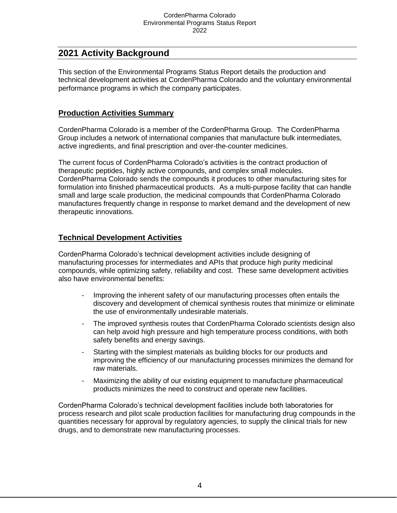## **2021 Activity Background**

This section of the Environmental Programs Status Report details the production and technical development activities at CordenPharma Colorado and the voluntary environmental performance programs in which the company participates.

## **Production Activities Summary**

CordenPharma Colorado is a member of the CordenPharma Group. The CordenPharma Group includes a network of international companies that manufacture bulk intermediates, active ingredients, and final prescription and over-the-counter medicines.

The current focus of CordenPharma Colorado's activities is the contract production of therapeutic peptides, highly active compounds, and complex small molecules. CordenPharma Colorado sends the compounds it produces to other manufacturing sites for formulation into finished pharmaceutical products. As a multi-purpose facility that can handle small and large scale production, the medicinal compounds that CordenPharma Colorado manufactures frequently change in response to market demand and the development of new therapeutic innovations.

## **Technical Development Activities**

CordenPharma Colorado's technical development activities include designing of manufacturing processes for intermediates and APIs that produce high purity medicinal compounds, while optimizing safety, reliability and cost. These same development activities also have environmental benefits:

- Improving the inherent safety of our manufacturing processes often entails the discovery and development of chemical synthesis routes that minimize or eliminate the use of environmentally undesirable materials.
- The improved synthesis routes that CordenPharma Colorado scientists design also can help avoid high pressure and high temperature process conditions, with both safety benefits and energy savings.
- Starting with the simplest materials as building blocks for our products and improving the efficiency of our manufacturing processes minimizes the demand for raw materials.
- Maximizing the ability of our existing equipment to manufacture pharmaceutical products minimizes the need to construct and operate new facilities.

CordenPharma Colorado's technical development facilities include both laboratories for process research and pilot scale production facilities for manufacturing drug compounds in the quantities necessary for approval by regulatory agencies, to supply the clinical trials for new drugs, and to demonstrate new manufacturing processes.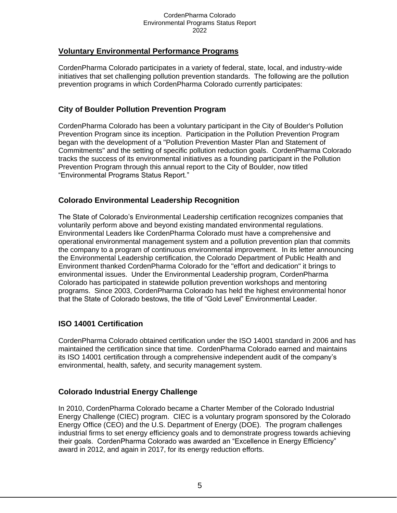## **Voluntary Environmental Performance Programs**

CordenPharma Colorado participates in a variety of federal, state, local, and industry-wide initiatives that set challenging pollution prevention standards. The following are the pollution prevention programs in which CordenPharma Colorado currently participates:

## **City of Boulder Pollution Prevention Program**

CordenPharma Colorado has been a voluntary participant in the City of Boulder's Pollution Prevention Program since its inception. Participation in the Pollution Prevention Program began with the development of a "Pollution Prevention Master Plan and Statement of Commitments" and the setting of specific pollution reduction goals. CordenPharma Colorado tracks the success of its environmental initiatives as a founding participant in the Pollution Prevention Program through this annual report to the City of Boulder, now titled "Environmental Programs Status Report."

## **Colorado Environmental Leadership Recognition**

The State of Colorado's Environmental Leadership certification recognizes companies that voluntarily perform above and beyond existing mandated environmental regulations. Environmental Leaders like CordenPharma Colorado must have a comprehensive and operational environmental management system and a pollution prevention plan that commits the company to a program of continuous environmental improvement. In its letter announcing the Environmental Leadership certification, the Colorado Department of Public Health and Environment thanked CordenPharma Colorado for the "effort and dedication" it brings to environmental issues. Under the Environmental Leadership program, CordenPharma Colorado has participated in statewide pollution prevention workshops and mentoring programs. Since 2003, CordenPharma Colorado has held the highest environmental honor that the State of Colorado bestows, the title of "Gold Level" Environmental Leader.

## **ISO 14001 Certification**

CordenPharma Colorado obtained certification under the ISO 14001 standard in 2006 and has maintained the certification since that time. CordenPharma Colorado earned and maintains its ISO 14001 certification through a comprehensive independent audit of the company's environmental, health, safety, and security management system.

## **Colorado Industrial Energy Challenge**

In 2010, CordenPharma Colorado became a Charter Member of the Colorado Industrial Energy Challenge (CIEC) program. CIEC is a voluntary program sponsored by the Colorado Energy Office (CEO) and the U.S. Department of Energy (DOE). The program challenges industrial firms to set energy efficiency goals and to demonstrate progress towards achieving their goals. CordenPharma Colorado was awarded an "Excellence in Energy Efficiency" award in 2012, and again in 2017, for its energy reduction efforts.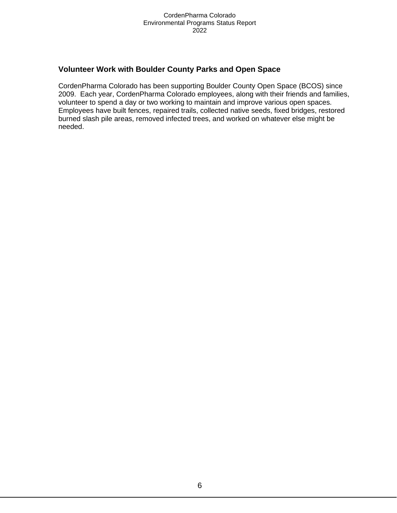## **Volunteer Work with Boulder County Parks and Open Space**

CordenPharma Colorado has been supporting Boulder County Open Space (BCOS) since 2009. Each year, CordenPharma Colorado employees, along with their friends and families, volunteer to spend a day or two working to maintain and improve various open spaces. Employees have built fences, repaired trails, collected native seeds, fixed bridges, restored burned slash pile areas, removed infected trees, and worked on whatever else might be needed.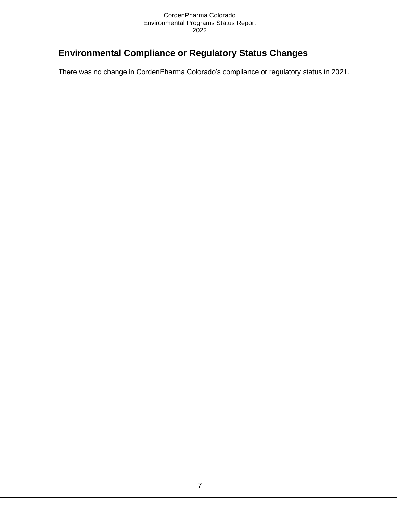## **Environmental Compliance or Regulatory Status Changes**

There was no change in CordenPharma Colorado's compliance or regulatory status in 2021.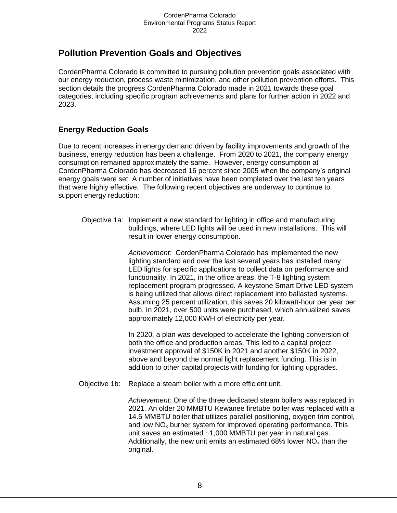## **Pollution Prevention Goals and Objectives**

CordenPharma Colorado is committed to pursuing pollution prevention goals associated with our energy reduction, process waste minimization, and other pollution prevention efforts. This section details the progress CordenPharma Colorado made in 2021 towards these goal categories, including specific program achievements and plans for further action in 2022 and 2023.

## **Energy Reduction Goals**

Due to recent increases in energy demand driven by facility improvements and growth of the business, energy reduction has been a challenge. From 2020 to 2021, the company energy consumption remained approximately the same. However, energy consumption at CordenPharma Colorado has decreased 16 percent since 2005 when the company's original energy goals were set. A number of initiatives have been completed over the last ten years that were highly effective. The following recent objectives are underway to continue to support energy reduction:

Objective 1a: Implement a new standard for lighting in office and manufacturing buildings, where LED lights will be used in new installations. This will result in lower energy consumption.

> *Achievement:* CordenPharma Colorado has implemented the new lighting standard and over the last several years has installed many LED lights for specific applications to collect data on performance and functionality. In 2021, in the office areas, the T-8 lighting system replacement program progressed. A keystone Smart Drive LED system is being utilized that allows direct replacement into ballasted systems. Assuming 25 percent utilization, this saves 20 kilowatt-hour per year per bulb. In 2021, over 500 units were purchased, which annualized saves approximately 12,000 KWH of electricity per year.

In 2020, a plan was developed to accelerate the lighting conversion of both the office and production areas. This led to a capital project investment approval of \$150K in 2021 and another \$150K in 2022, above and beyond the normal light replacement funding. This is in addition to other capital projects with funding for lighting upgrades.

Objective 1b: Replace a steam boiler with a more efficient unit.

*Achievement:* One of the three dedicated steam boilers was replaced in 2021. An older 20 MMBTU Kewanee firetube boiler was replaced with a 14.5 MMBTU boiler that utilizes parallel positioning, oxygen trim control, and low  $NO<sub>x</sub>$  burner system for improved operating performance. This unit saves an estimated ~1,000 MMBTU per year in natural gas. Additionally, the new unit emits an estimated 68% lower  $NO<sub>x</sub>$  than the original.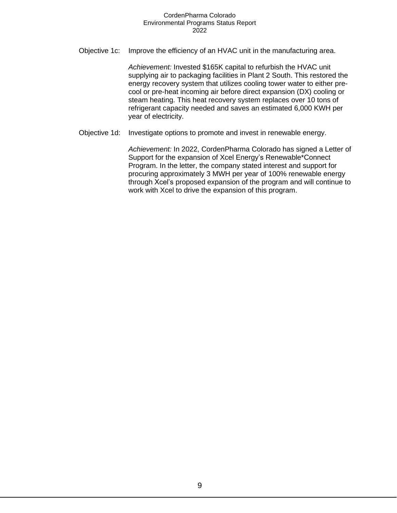Objective 1c: Improve the efficiency of an HVAC unit in the manufacturing area.

*Achievement:* Invested \$165K capital to refurbish the HVAC unit supplying air to packaging facilities in Plant 2 South. This restored the energy recovery system that utilizes cooling tower water to either precool or pre-heat incoming air before direct expansion (DX) cooling or steam heating. This heat recovery system replaces over 10 tons of refrigerant capacity needed and saves an estimated 6,000 KWH per year of electricity.

Objective 1d: Investigate options to promote and invest in renewable energy.

*Achievement:* In 2022, CordenPharma Colorado has signed a Letter of Support for the expansion of Xcel Energy's Renewable\*Connect Program. In the letter, the company stated interest and support for procuring approximately 3 MWH per year of 100% renewable energy through Xcel's proposed expansion of the program and will continue to work with Xcel to drive the expansion of this program.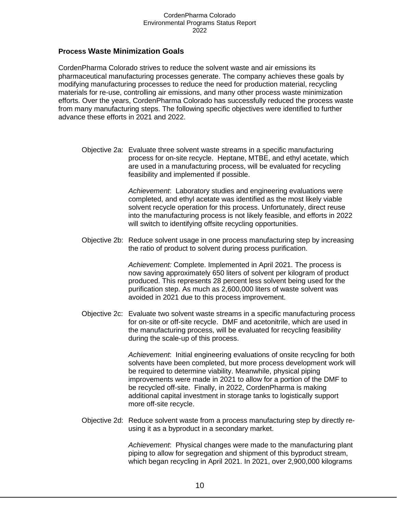#### **Process Waste Minimization Goals**

CordenPharma Colorado strives to reduce the solvent waste and air emissions its pharmaceutical manufacturing processes generate. The company achieves these goals by modifying manufacturing processes to reduce the need for production material, recycling materials for re-use, controlling air emissions, and many other process waste minimization efforts. Over the years, CordenPharma Colorado has successfully reduced the process waste from many manufacturing steps. The following specific objectives were identified to further advance these efforts in 2021 and 2022.

Objective 2a: Evaluate three solvent waste streams in a specific manufacturing process for on-site recycle. Heptane, MTBE, and ethyl acetate, which are used in a manufacturing process, will be evaluated for recycling feasibility and implemented if possible.

> *Achievement*: Laboratory studies and engineering evaluations were completed, and ethyl acetate was identified as the most likely viable solvent recycle operation for this process. Unfortunately, direct reuse into the manufacturing process is not likely feasible, and efforts in 2022 will switch to identifying offsite recycling opportunities.

Objective 2b: Reduce solvent usage in one process manufacturing step by increasing the ratio of product to solvent during process purification.

> *Achievement:* Complete. Implemented in April 2021. The process is now saving approximately 650 liters of solvent per kilogram of product produced. This represents 28 percent less solvent being used for the purification step. As much as 2,600,000 liters of waste solvent was avoided in 2021 due to this process improvement.

Objective 2c: Evaluate two solvent waste streams in a specific manufacturing process for on-site or off-site recycle. DMF and acetonitrile, which are used in the manufacturing process, will be evaluated for recycling feasibility during the scale-up of this process.

> *Achievement*: Initial engineering evaluations of onsite recycling for both solvents have been completed, but more process development work will be required to determine viability. Meanwhile, physical piping improvements were made in 2021 to allow for a portion of the DMF to be recycled off-site. Finally, in 2022, CordenPharma is making additional capital investment in storage tanks to logistically support more off-site recycle.

Objective 2d: Reduce solvent waste from a process manufacturing step by directly reusing it as a byproduct in a secondary market.

> *Achievement*: Physical changes were made to the manufacturing plant piping to allow for segregation and shipment of this byproduct stream, which began recycling in April 2021. In 2021, over 2,900,000 kilograms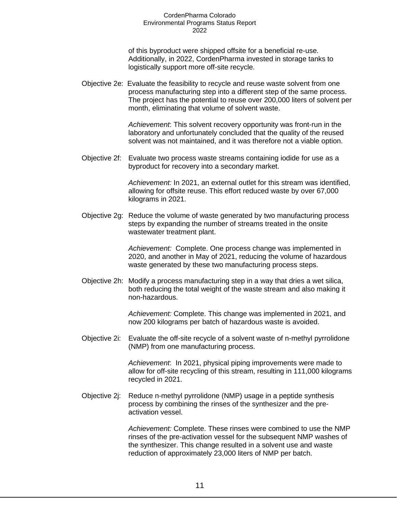of this byproduct were shipped offsite for a beneficial re-use. Additionally, in 2022, CordenPharma invested in storage tanks to logistically support more off-site recycle.

Objective 2e: Evaluate the feasibility to recycle and reuse waste solvent from one process manufacturing step into a different step of the same process. The project has the potential to reuse over 200,000 liters of solvent per month, eliminating that volume of solvent waste.

> *Achievement*: This solvent recovery opportunity was front-run in the laboratory and unfortunately concluded that the quality of the reused solvent was not maintained, and it was therefore not a viable option.

Objective 2f: Evaluate two process waste streams containing iodide for use as a byproduct for recovery into a secondary market.

> *Achievement:* In 2021, an external outlet for this stream was identified, allowing for offsite reuse. This effort reduced waste by over 67,000 kilograms in 2021.

Objective 2g: Reduce the volume of waste generated by two manufacturing process steps by expanding the number of streams treated in the onsite wastewater treatment plant.

> *Achievement:* Complete. One process change was implemented in 2020, and another in May of 2021, reducing the volume of hazardous waste generated by these two manufacturing process steps.

Objective 2h: Modify a process manufacturing step in a way that dries a wet silica, both reducing the total weight of the waste stream and also making it non-hazardous.

> *Achievement:* Complete. This change was implemented in 2021, and now 200 kilograms per batch of hazardous waste is avoided.

Objective 2i: Evaluate the off-site recycle of a solvent waste of n-methyl pyrrolidone (NMP) from one manufacturing process.

> *Achievement*: In 2021, physical piping improvements were made to allow for off-site recycling of this stream, resulting in 111,000 kilograms recycled in 2021.

Objective 2j: Reduce n-methyl pyrrolidone (NMP) usage in a peptide synthesis process by combining the rinses of the synthesizer and the preactivation vessel.

> *Achievement:* Complete. These rinses were combined to use the NMP rinses of the pre-activation vessel for the subsequent NMP washes of the synthesizer. This change resulted in a solvent use and waste reduction of approximately 23,000 liters of NMP per batch.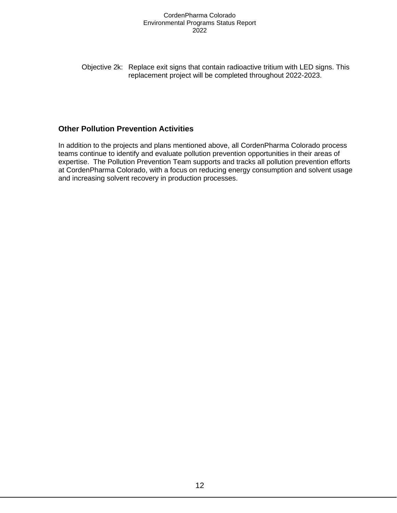Objective 2k: Replace exit signs that contain radioactive tritium with LED signs. This replacement project will be completed throughout 2022-2023.

## **Other Pollution Prevention Activities**

In addition to the projects and plans mentioned above, all CordenPharma Colorado process teams continue to identify and evaluate pollution prevention opportunities in their areas of expertise. The Pollution Prevention Team supports and tracks all pollution prevention efforts at CordenPharma Colorado, with a focus on reducing energy consumption and solvent usage and increasing solvent recovery in production processes.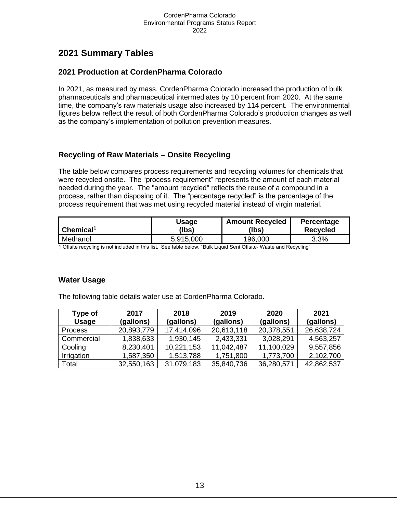## **2021 Summary Tables**

### **2021 Production at CordenPharma Colorado**

In 2021, as measured by mass, CordenPharma Colorado increased the production of bulk pharmaceuticals and pharmaceutical intermediates by 10 percent from 2020. At the same time, the company's raw materials usage also increased by 114 percent. The environmental figures below reflect the result of both CordenPharma Colorado's production changes as well as the company's implementation of pollution prevention measures.

## **Recycling of Raw Materials – Onsite Recycling**

The table below compares process requirements and recycling volumes for chemicals that were recycled onsite. The "process requirement" represents the amount of each material needed during the year. The "amount recycled" reflects the reuse of a compound in a process, rather than disposing of it. The "percentage recycled" is the percentage of the process requirement that was met using recycled material instead of virgin material.

| Chemical <sup>1</sup> | Jsage     | <b>Amount Recycled</b> | Percentage      |
|-----------------------|-----------|------------------------|-----------------|
|                       | (Ibs)     | (Ibs)                  | <b>Recycled</b> |
| Methanol              | 5,915,000 | 196,000                | 3.3%            |

1 Offsite recycling is not included in this list. See table below, "Bulk Liquid Sent Offsite- Waste and Recycling"

## **Water Usage**

The following table details water use at CordenPharma Colorado.

| <b>Type of</b> | 2017       | 2018       | 2019       | 2020       | 2021       |
|----------------|------------|------------|------------|------------|------------|
| <b>Usage</b>   | (gallons)  | (gallons)  | (gallons)  | (gallons)  | (gallons)  |
| <b>Process</b> | 20,893,779 | 17,414,096 | 20,613,118 | 20,378,551 | 26,638,724 |
| Commercial     | 1,838,633  | 1,930,145  | 2,433,331  | 3,028,291  | 4,563,257  |
| Cooling        | 8,230,401  | 10,221,153 | 11,042,487 | 11,100,029 | 9,557,856  |
| Irrigation     | 1,587,350  | 1,513,788  | 1,751,800  | 1,773,700  | 2,102,700  |
| Total          | 32,550,163 | 31,079,183 | 35,840,736 | 36,280,571 | 42,862,537 |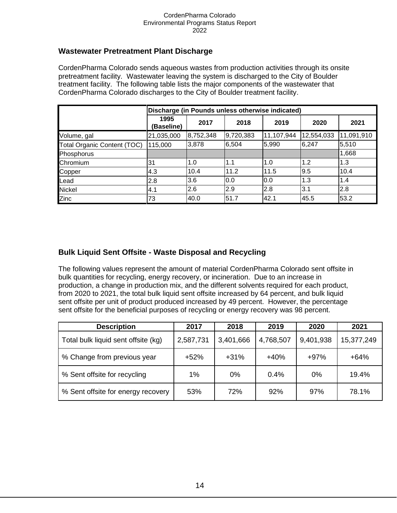## **Wastewater Pretreatment Plant Discharge**

CordenPharma Colorado sends aqueous wastes from production activities through its onsite pretreatment facility. Wastewater leaving the system is discharged to the City of Boulder treatment facility. The following table lists the major components of the wastewater that CordenPharma Colorado discharges to the City of Boulder treatment facility.

|                                    | Discharge (in Pounds unless otherwise indicated) |           |           |            |            |            |  |  |
|------------------------------------|--------------------------------------------------|-----------|-----------|------------|------------|------------|--|--|
|                                    | 1995<br>(Baseline)                               | 2017      | 2018      | 2019       | 2020       | 2021       |  |  |
| Volume, gal                        | 21,035,000                                       | 8,752,348 | 9,720,383 | 11,107,944 | 12,554,033 | 11,091,910 |  |  |
| <b>Total Organic Content (TOC)</b> | 115,000                                          | 3,878     | 6,504     | 5,990      | 6,247      | 5,510      |  |  |
| Phosphorus                         |                                                  |           |           |            |            | 1,668      |  |  |
| Chromium                           | 31                                               | 1.0       | 1.1       | 1.0        | 1.2        | 1.3        |  |  |
| Copper                             | 4.3                                              | 10.4      | 11.2      | 11.5       | 9.5        | 10.4       |  |  |
| Lead                               | 2.8                                              | 3.6       | 0.0       | 0.0        | 1.3        | 1.4        |  |  |
| <b>Nickel</b>                      | 4.1                                              | 2.6       | 2.9       | 2.8        | 3.1        | 2.8        |  |  |
| Zinc                               | 73                                               | 40.0      | 51.7      | 42.1       | 45.5       | 53.2       |  |  |

## **Bulk Liquid Sent Offsite - Waste Disposal and Recycling**

The following values represent the amount of material CordenPharma Colorado sent offsite in bulk quantities for recycling, energy recovery, or incineration. Due to an increase in production, a change in production mix, and the different solvents required for each product, from 2020 to 2021, the total bulk liquid sent offsite increased by 64 percent, and bulk liquid sent offsite per unit of product produced increased by 49 percent. However, the percentage sent offsite for the beneficial purposes of recycling or energy recovery was 98 percent.

| <b>Description</b>                  | 2017      | 2018      | 2019      | 2020      | 2021       |
|-------------------------------------|-----------|-----------|-----------|-----------|------------|
| Total bulk liquid sent offsite (kg) | 2,587,731 | 3,401,666 | 4,768,507 | 9,401,938 | 15,377,249 |
| % Change from previous year         | $+52%$    | $+31%$    | $+40%$    | $+97%$    | $+64%$     |
| % Sent offsite for recycling        | $1\%$     | $0\%$     | 0.4%      | $0\%$     | 19.4%      |
| % Sent offsite for energy recovery  | 53%       | 72%       | 92%       | 97%       | 78.1%      |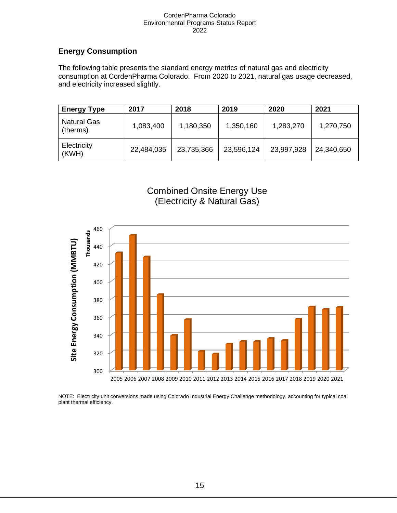## **Energy Consumption**

The following table presents the standard energy metrics of natural gas and electricity consumption at CordenPharma Colorado. From 2020 to 2021, natural gas usage decreased, and electricity increased slightly.

| <b>Energy Type</b>             | 2017       | 2018       | 2019       | 2020       | 2021       |
|--------------------------------|------------|------------|------------|------------|------------|
| <b>Natural Gas</b><br>(therms) | 1,083,400  | 1,180,350  | 1,350,160  | 1,283,270  | 1,270,750  |
| Electricity<br>(KWH)           | 22,484,035 | 23,735,366 | 23,596,124 | 23,997,928 | 24,340,650 |





NOTE: Electricity unit conversions made using Colorado Industrial Energy Challenge methodology, accounting for typical coal plant thermal efficiency.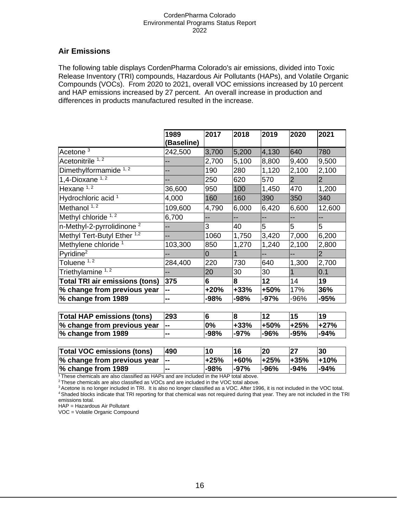## **Air Emissions**

The following table displays CordenPharma Colorado's air emissions, divided into Toxic Release Inventory (TRI) compounds, Hazardous Air Pollutants (HAPs), and Volatile Organic Compounds (VOCs). From 2020 to 2021, overall VOC emissions increased by 10 percent and HAP emissions increased by 27 percent. An overall increase in production and differences in products manufactured resulted in the increase.

|                                        | 1989<br>(Baseline) | 2017           | 2018   | 2019           | 2020           | 2021           |
|----------------------------------------|--------------------|----------------|--------|----------------|----------------|----------------|
| Acetone <sup>3</sup>                   | 242,500            | 3,700          | 5,200  | 4,130          | 640            | 780            |
| Acetonitrile 1, 2                      | --                 | 2,700          | 5,100  | 8,800          | 9,400          | 9,500          |
| Dimethylformamide $\frac{1}{1}$        | --                 | 190            | 280    | 1,120          | 2,100          | 2,100          |
| 1,4-Dioxane $1,2$                      | --                 | 250            | 620    | 570            | $\overline{2}$ | $\overline{2}$ |
| Hexane $\overline{1,2}$                | 36,600             | 950            | 100    | 1,450          | 470            | 1,200          |
| Hydrochloric acid <sup>1</sup>         | 4,000              | 160            | 160    | 390            | 350            | 340            |
| Methanol $1, 2$                        | 109,600            | 4,790          | 6,000  | 6,420          | 6,600          | 12,600         |
| Methyl chloride 1, 2                   | 6,700              |                | --     | --             |                | --             |
| n-Methyl-2-pyrrolidinone <sup>2</sup>  | --                 | 3              | 40     | 5              | 5              | 5              |
| Methyl Tert-Butyl Ether <sup>1,2</sup> | --                 | 1060           | 1,750  | 3,420          | 7,000          | 6,200          |
| Methylene chloride <sup>1</sup>        | 103,300            | 850            | 1,270  | 1,240          | 2,100          | 2,800          |
| $Pv$ ridine <sup>2</sup>               |                    | $\overline{0}$ |        | $\overline{a}$ | --             | 2              |
| Toluene <sup>1,2</sup>                 | 284,400            | 220            | 730    | 640            | 1,300          | 2,700          |
| Triethylamine <sup>1,2</sup>           |                    | 20             | 30     | 30             |                | 0.1            |
| <b>Total TRI air emissions (tons)</b>  | 375                | 6              | 8      | 12             | 14             | 19             |
| % change from previous year            | --                 | +20%           | $+33%$ | +50%           | 17%            | 36%            |
| % change from 1989                     | --                 | $-98%$         | -98%   | $-97%$         | -96%           | $-95%$         |

| <b>Total HAP emissions (tons)</b> | 293   |        |        |        | 15     | 19     |
|-----------------------------------|-------|--------|--------|--------|--------|--------|
| % change from previous year       | --    | 0%     | $+33%$ | l+50%  | $+25%$ | $+27%$ |
| % change from 1989                | $- -$ | $-98%$ | $-97%$ | $-96%$ | $-95%$ | $-94%$ |

| <b>Total VOC emissions (tons)</b> | 490         |        | 16          | 20     |         | 30     |
|-----------------------------------|-------------|--------|-------------|--------|---------|--------|
| % change from previous year       | <b>1000</b> | $+25%$ | <b>+60%</b> | $+25%$ | l+35%   | $+10%$ |
| % change from 1989                | --          | -98%   | $-97%$      | l-96%  | $ -94%$ | $-94%$ |

 $1$ <sup>1</sup>These chemicals are also classified as HAPs and are included in the HAP total above.

<sup>2</sup>These chemicals are also classified as VOCs and are included in the VOC total above.

HAP = Hazardous Air Pollutant

VOC = Volatile Organic Compound

<sup>&</sup>lt;sup>3</sup> Acetone is no longer included in TRI. It is also no longer classified as a VOC. After 1996, it is not included in the VOC total. <sup>4</sup> Shaded blocks indicate that TRI reporting for that chemical was not required during that year. They are not included in the TRI emissions total.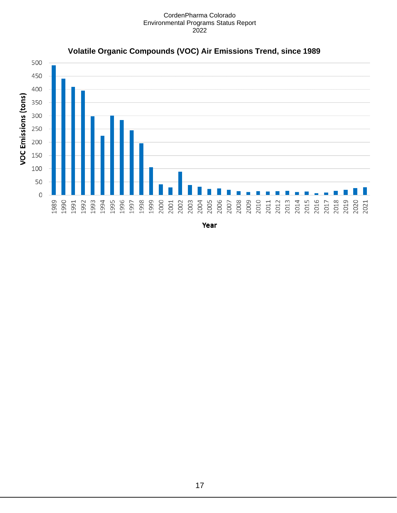

## **Volatile Organic Compounds (VOC) Air Emissions Trend, since 1989**

Year